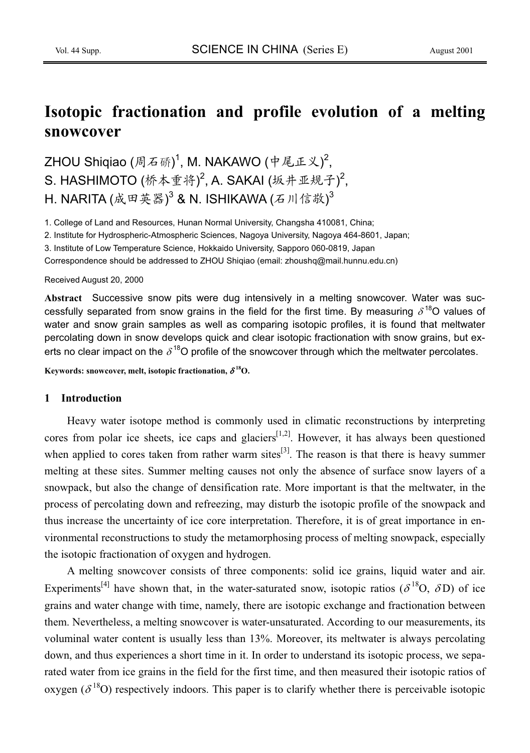# **Isotopic fractionation and profile evolution of a melting snowcover**

ZHOU Shiqiao (周石硚) $^1$ , M. NAKAWO (中尾正义) $^2$ ,  $S.$  HASHIMOTO (桥本重将)<sup>2</sup>, A. SAKAI (坂井亚规子)<sup>2</sup>, H. NARITA (成田英器)<sup>3</sup> & N. ISHIKAWA (石川信敬)<sup>3</sup>

1. College of Land and Resources, Hunan Normal University, Changsha 410081, China;

2. Institute for Hydrospheric-Atmospheric Sciences, Nagoya University, Nagoya 464-8601, Japan;

3. Institute of Low Temperature Science, Hokkaido University, Sapporo 060-0819, Japan

Correspondence should be addressed to ZHOU Shiqiao (email: zhoushq@mail.hunnu.edu.cn)

#### Received August 20, 2000

**Abstract** Successive snow pits were dug intensively in a melting snowcover. Water was successfully separated from snow grains in the field for the first time. By measuring  $\delta^{18}$ O values of water and snow grain samples as well as comparing isotopic profiles, it is found that meltwater percolating down in snow develops quick and clear isotopic fractionation with snow grains, but exerts no clear impact on the  $\delta^{18}$ O profile of the snowcover through which the meltwater percolates.

Keywords: snowcover, melt, isotopic fractionation,  $\delta^{18}O$ .

#### **1 Introduction**

Heavy water isotope method is commonly used in climatic reconstructions by interpreting cores from polar ice sheets, ice caps and glaciers<sup>[1,2]</sup>. However, it has always been questioned when applied to cores taken from rather warm sites $^{[3]}$ . The reason is that there is heavy summer melting at these sites. Summer melting causes not only the absence of surface snow layers of a snowpack, but also the change of densification rate. More important is that the meltwater, in the process of percolating down and refreezing, may disturb the isotopic profile of the snowpack and thus increase the uncertainty of ice core interpretation. Therefore, it is of great importance in environmental reconstructions to study the metamorphosing process of melting snowpack, especially the isotopic fractionation of oxygen and hydrogen.

A melting snowcover consists of three components: solid ice grains, liquid water and air. Experiments<sup>[4]</sup> have shown that, in the water-saturated snow, isotopic ratios ( $\delta^{18}O$ ,  $\delta D$ ) of ice grains and water change with time, namely, there are isotopic exchange and fractionation between them. Nevertheless, a melting snowcover is water-unsaturated. According to our measurements, its voluminal water content is usually less than 13%. Moreover, its meltwater is always percolating down, and thus experiences a short time in it. In order to understand its isotopic process, we separated water from ice grains in the field for the first time, and then measured their isotopic ratios of oxygen ( $\delta^{18}$ O) respectively indoors. This paper is to clarify whether there is perceivable isotopic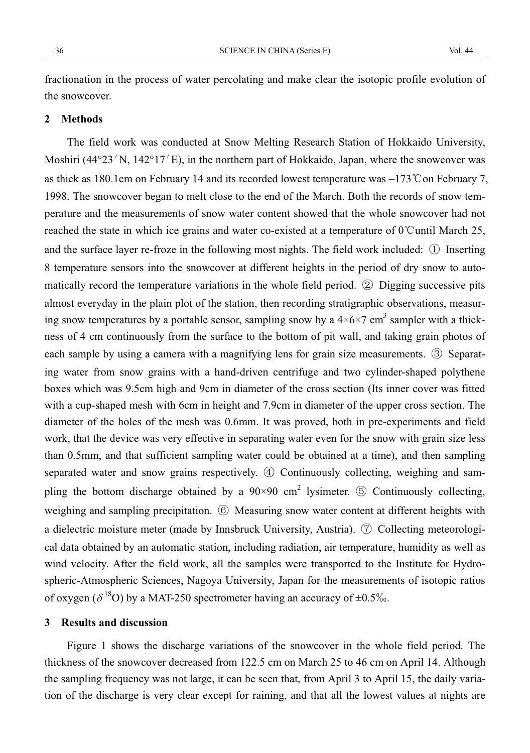fractionation in the process of water percolating and make clear the isotopic profile evolution of the snowcover.

#### **2 Methods**

The field work was conducted at Snow Melting Research Station of Hokkaido University, Moshiri (44°23′N, 142°17′E), in the northern part of Hokkaido, Japan, where the snowcover was as thick as 180.1cm on February 14 and its recorded lowest temperature was  $-173^{\circ}$ C on February 7, 1998. The snowcover began to melt close to the end of the March. Both the records of snow temperature and the measurements of snow water content showed that the whole snowcover had not reached the state in which ice grains and water co-existed at a temperature of  $0^{\circ}$ Cuntil March 25, and the surface layer re-froze in the following most nights. The field work included:  $\Phi$  Inserting 8 temperature sensors into the snowcover at different heights in the period of dry snow to automatically record the temperature variations in the whole field period.  $\circled{2}$  Digging successive pits almost everyday in the plain plot of the station, then recording stratigraphic observations, measuring snow temperatures by a portable sensor, sampling snow by a  $4 \times 6 \times 7$  cm<sup>3</sup> sampler with a thickness of 4 cm continuously from the surface to the bottom of pit wall, and taking grain photos of each sample by using a camera with a magnifying lens for grain size measurements.  $\circled{3}$  Separating water from snow grains with a hand-driven centrifuge and two cylinder-shaped polythene boxes which was 9.5cm high and 9cm in diameter of the cross section (Its inner cover was fitted with a cup-shaped mesh with 6cm in height and 7.9cm in diameter of the upper cross section. The diameter of the holes of the mesh was 0.6mm. It was proved, both in pre-experiments and field work, that the device was very effective in separating water even for the snow with grain size less than 0.5mm, and that sufficient sampling water could be obtained at a time), and then sampling separated water and snow grains respectively.  $\Phi$  Continuously collecting, weighing and sampling the bottom discharge obtained by a  $90 \times 90$  cm<sup>2</sup> lysimeter.  $\circled{5}$  Continuously collecting, weighing and sampling precipitation.  $\circledS$  Measuring snow water content at different heights with a dielectric moisture meter (made by Innsbruck University, Austria).  $\circled{7}$  Collecting meteorological data obtained by an automatic station, including radiation, air temperature, humidity as well as wind velocity. After the field work, all the samples were transported to the Institute for Hydrospheric-Atmospheric Sciences, Nagoya University, Japan for the measurements of isotopic ratios of oxygen ( $\delta^{18}$ O) by a MAT-250 spectrometer having an accuracy of  $\pm 0.5\%$ .

#### **3 Results and discussion**

Figure 1 shows the discharge variations of the snowcover in the whole field period. The thickness of the snowcover decreased from 122.5 cm on March 25 to 46 cm on April 14. Although the sampling frequency was not large, it can be seen that, from April 3 to April 15, the daily variation of the discharge is very clear except for raining, and that all the lowest values at nights are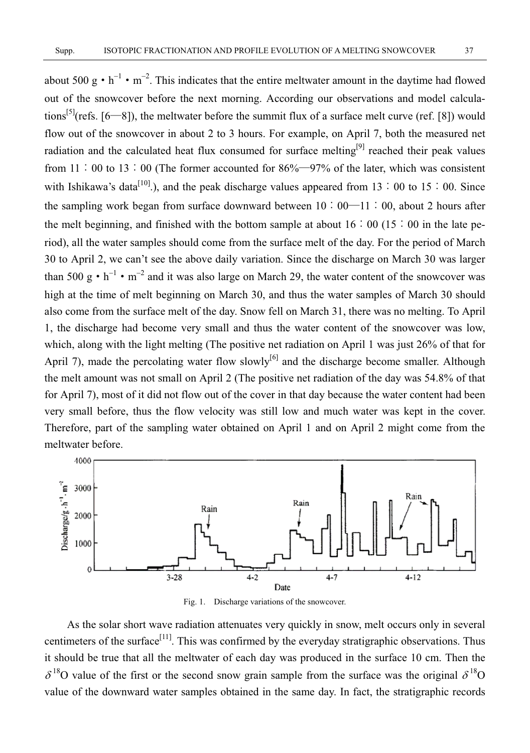about 500 g  $\cdot$  h<sup>-1</sup>  $\cdot$  m<sup>-2</sup>. This indicates that the entire meltwater amount in the daytime had flowed out of the snowcover before the next morning. According our observations and model calculations<sup>[5]</sup>(refs. [6—8]), the meltwater before the summit flux of a surface melt curve (ref. [8]) would flow out of the snowcover in about 2 to 3 hours. For example, on April 7, both the measured net radiation and the calculated heat flux consumed for surface melting<sup>[9]</sup> reached their peak values from 11  $\div$  00 to 13  $\div$  00 (The former accounted for 86%—97% of the later, which was consistent with Ishikawa's data<sup>[10]</sup>.), and the peak discharge values appeared from 13  $\div$  00 to 15  $\div$  00. Since the sampling work began from surface downward between  $10:00-11:00$ , about 2 hours after the melt beginning, and finished with the bottom sample at about  $16:00$  ( $15:00$  in the late period), all the water samples should come from the surface melt of the day. For the period of March 30 to April 2, we can't see the above daily variation. Since the discharge on March 30 was larger than 500 g  $\cdot$  h<sup>-1</sup>  $\cdot$  m<sup>-2</sup> and it was also large on March 29, the water content of the snowcover was high at the time of melt beginning on March 30, and thus the water samples of March 30 should also come from the surface melt of the day. Snow fell on March 31, there was no melting. To April 1, the discharge had become very small and thus the water content of the snowcover was low, which, along with the light melting (The positive net radiation on April 1 was just 26% of that for April 7), made the percolating water flow slowly<sup>[6]</sup> and the discharge become smaller. Although the melt amount was not small on April 2 (The positive net radiation of the day was 54.8% of that for April 7), most of it did not flow out of the cover in that day because the water content had been very small before, thus the flow velocity was still low and much water was kept in the cover. Therefore, part of the sampling water obtained on April 1 and on April 2 might come from the meltwater before.



Fig. 1. Discharge variations of the snowcover.

As the solar short wave radiation attenuates very quickly in snow, melt occurs only in several centimeters of the surface<sup>[11]</sup>. This was confirmed by the everyday stratigraphic observations. Thus it should be true that all the meltwater of each day was produced in the surface 10 cm. Then the  $\delta^{18}$ O value of the first or the second snow grain sample from the surface was the original  $\delta^{18}$ O value of the downward water samples obtained in the same day. In fact, the stratigraphic records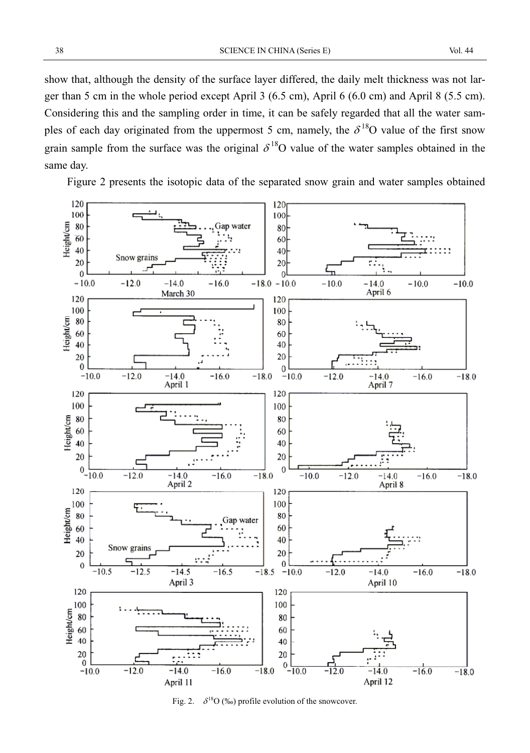show that, although the density of the surface layer differed, the daily melt thickness was not larger than 5 cm in the whole period except April 3 (6.5 cm), April 6 (6.0 cm) and April 8 (5.5 cm). Considering this and the sampling order in time, it can be safely regarded that all the water samples of each day originated from the uppermost 5 cm, namely, the  $\delta^{18}O$  value of the first snow grain sample from the surface was the original  $\delta^{18}O$  value of the water samples obtained in the same day.

Figure 2 presents the isotopic data of the separated snow grain and water samples obtained



Fig. 2.  $\delta^{18}O$  (‰) profile evolution of the snowcover.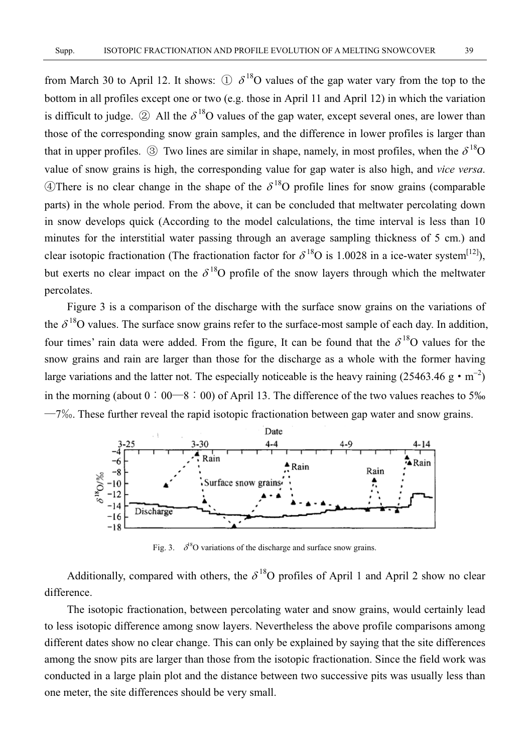from March 30 to April 12. It shows:  $\oplus \delta^{18}O$  values of the gap water vary from the top to the bottom in all profiles except one or two (e.g. those in April 11 and April 12) in which the variation is difficult to judge.  $\circled{2}$  All the  $\delta^{18}O$  values of the gap water, except several ones, are lower than those of the corresponding snow grain samples, and the difference in lower profiles is larger than that in upper profiles.  $\circled{3}$  Two lines are similar in shape, namely, in most profiles, when the  $\delta^{18}O$ value of snow grains is high, the corresponding value for gap water is also high, and *vice versa*. **A**There is no clear change in the shape of the  $\delta^{18}$ O profile lines for snow grains (comparable parts) in the whole period. From the above, it can be concluded that meltwater percolating down in snow develops quick (According to the model calculations, the time interval is less than 10 minutes for the interstitial water passing through an average sampling thickness of 5 cm.) and clear isotopic fractionation (The fractionation factor for  $\delta^{18}O$  is 1.0028 in a ice-water system<sup>[12]</sup>), but exerts no clear impact on the  $\delta^{18}$ O profile of the snow layers through which the meltwater percolates.

Figure 3 is a comparison of the discharge with the surface snow grains on the variations of the  $\delta^{18}$ O values. The surface snow grains refer to the surface-most sample of each day. In addition, four times' rain data were added. From the figure, It can be found that the  $\delta^{18}O$  values for the snow grains and rain are larger than those for the discharge as a whole with the former having large variations and the latter not. The especially noticeable is the heavy raining (25463.46 g  $\cdot$  m<sup>-2</sup>) in the morning (about  $0:00-8:00$ ) of April 13. The difference of the two values reaches to 5‰  $-7\%$ . These further reveal the rapid isotopic fractionation between gap water and snow grains.



Fig. 3.  $\delta^8$ O variations of the discharge and surface snow grains.

Additionally, compared with others, the  $\delta^{18}O$  profiles of April 1 and April 2 show no clear difference.

The isotopic fractionation, between percolating water and snow grains, would certainly lead to less isotopic difference among snow layers. Nevertheless the above profile comparisons among different dates show no clear change. This can only be explained by saying that the site differences among the snow pits are larger than those from the isotopic fractionation. Since the field work was conducted in a large plain plot and the distance between two successive pits was usually less than one meter, the site differences should be very small.